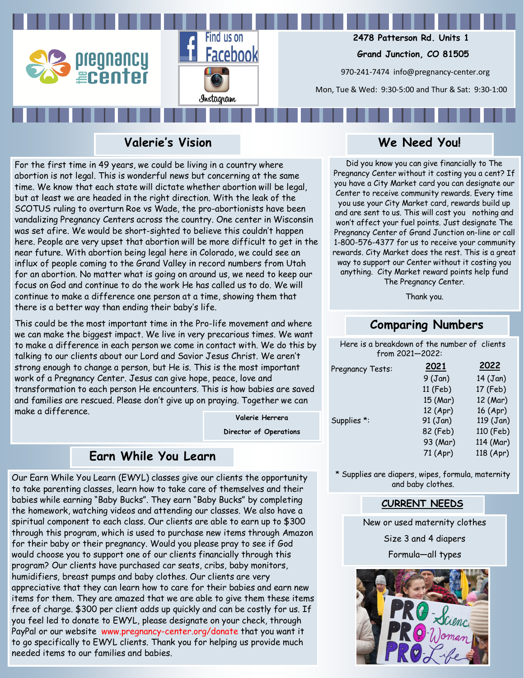



 **2478 Patterson Rd. Units 1**

 **Grand Junction, CO 81505**

970-241-7474 info@pregnancy-center.org

Mon, Tue & Wed: 9:30-5:00 and Thur & Sat: 9:30-1:00

# **Valerie's Vision**

For the first time in 49 years, we could be living in a country where abortion is not legal. This is wonderful news but concerning at the same time. We know that each state will dictate whether abortion will be legal, but at least we are headed in the right direction. With the leak of the SCOTUS ruling to overturn Roe vs Wade, the pro-abortionists have been vandalizing Pregnancy Centers across the country. One center in Wisconsin was set afire. We would be short-sighted to believe this couldn't happen here. People are very upset that abortion will be more difficult to get in the near future. With abortion being legal here in Colorado, we could see an influx of people coming to the Grand Valley in record numbers from Utah for an abortion. No matter what is going on around us, we need to keep our focus on God and continue to do the work He has called us to do. We will continue to make a difference one person at a time, showing them that there is a better way than ending their baby's life.

This could be the most important time in the Pro-life movement and where we can make the biggest impact. We live in very precarious times. We want to make a difference in each person we come in contact with. We do this by talking to our clients about our Lord and Savior Jesus Christ. We aren't strong enough to change a person, but He is. This is the most important work of a Pregnancy Center. Jesus can give hope, peace, love and transformation to each person He encounters. This is how babies are saved and families are rescued. Please don't give up on praying. Together we can make a difference.

**Valerie Herrera Director of Operations**

# **Earn While You Learn**

Our Earn While You Learn (EWYL) classes give our clients the opportunity to take parenting classes, learn how to take care of themselves and their babies while earning "Baby Bucks". They earn "Baby Bucks" by completing the homework, watching videos and attending our classes. We also have a spiritual component to each class. Our clients are able to earn up to \$300 through this program, which is used to purchase new items through Amazon for their baby or their pregnancy. Would you please pray to see if God would choose you to support one of our clients financially through this program? Our clients have purchased car seats, cribs, baby monitors, humidifiers, breast pumps and baby clothes. Our clients are very appreciative that they can learn how to care for their babies and earn new items for them. They are amazed that we are able to give them these items free of charge. \$300 per client adds up quickly and can be costly for us. If you feel led to donate to EWYL, please designate on your check, through PayPal or our website www.pregnancy-center.org/donate that you want it to go specifically to EWYL clients. Thank you for helping us provide much needed items to our families and babies.

# **We Need You!**

Did you know you can give financially to The Pregnancy Center without it costing you a cent? If you have a City Market card you can designate our Center to receive community rewards. Every time you use your City Market card, rewards build up and are sent to us. This will cost you nothing and won't affect your fuel points. Just designate The Pregnancy Center of Grand Junction on-line or call 1-800-576-4377 for us to receive your community rewards. City Market does the rest. This is a great way to support our Center without it costing you anything. City Market reward points help fund The Pregnancy Center.

Thank you.

# **Comparing Numbers**

Here is a breakdown of the number of clients from 2021—2022:

| Pregnancy Tests: | 2021     | 2022       |
|------------------|----------|------------|
|                  | 9(Jan)   | $14$ (Jan) |
|                  | 11 (Feb) | 17 (Feb)   |
|                  | 15 (Mar) | 12 (Mar)   |
|                  | 12 (Apr) | 16 (Apr)   |
| Supplies *:      | 91 (Jan) | 119 (Jan)  |
|                  | 82 (Feb) | 110 (Feb)  |
|                  | 93 (Mar) | 114 (Mar)  |
|                  | 71 (Apr) | 118 (Apr)  |

\* Supplies are diapers, wipes, formula, maternity and baby clothes.

## **CURRENT NEEDS**

New or used maternity clothes

Size 3 and 4 diapers

Formula—all types